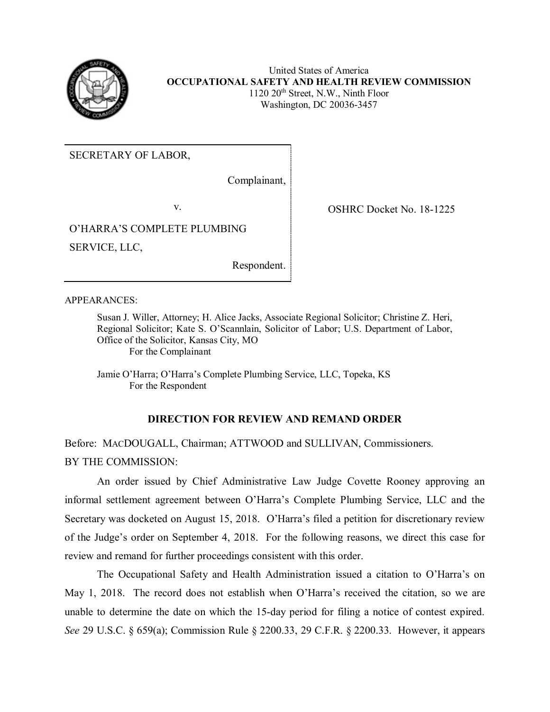

United States of America **OCCUPATIONAL SAFETY AND HEALTH REVIEW COMMISSION**  1120 20<sup>th</sup> Street, N.W., Ninth Floor Washington, DC 20036-3457

SECRETARY OF LABOR,

Complainant,

 SERVICE, LLC, v.<br>O'HARRA'S COMPLETE PLUMBING

Respondent.

APPEARANCES:

 Regional Solicitor; Kate S. O'Scannlain, Solicitor of Labor; U.S. Department of Labor, Susan J. Willer, Attorney; H. Alice Jacks, Associate Regional Solicitor; Christine Z. Heri, Office of the Solicitor, Kansas City, MO For the Complainant

Jamie O'Harra; O'Harra's Complete Plumbing Service, LLC, Topeka, KS For the Respondent

## **DIRECTION FOR REVIEW AND REMAND ORDER**

 Before: MACDOUGALL, Chairman; ATTWOOD and SULLIVAN, Commissioners. BY THE COMMISSION:

 informal settlement agreement between O'Harra's Complete Plumbing Service, LLC and the Secretary was docketed on August 15, 2018. O'Harra's filed a petition for discretionary review of the Judge's order on September 4, 2018. For the following reasons, we direct this case for An order issued by Chief Administrative Law Judge Covette Rooney approving an review and remand for further proceedings consistent with this order.

 May 1, 2018. The record does not establish when O'Harra's received the citation, so we are unable to determine the date on which the 15-day period for filing a notice of contest expired. *See* 29 U.S.C. § 659(a); Commission Rule § 2200.33, 29 C.F.R. § 2200.33. However, it appears The Occupational Safety and Health Administration issued a citation to O'Harra's on

**OSHRC Docket No. 18-1225**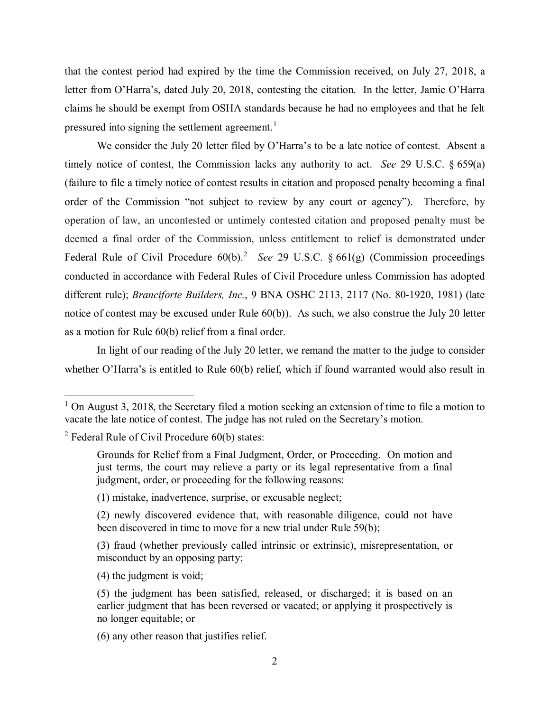letter from O'Harra's, dated July 20, 2018, contesting the citation. In the letter, Jamie O'Harra that the contest period had expired by the time the Commission received, on July 27, 2018, a claims he should be exempt from OSHA standards because he had no employees and that he felt pressured into signing the settlement agreement.<sup>[1](#page-1-0)</sup>

 timely notice of contest, the Commission lacks any authority to act. *See* 29 U.S.C. § 659(a) order of the Commission "not subject to review by any court or agency"). Therefore, by operation of law, an uncontested or untimely contested citation and proposed penalty must be deemed a final order of the Commission, unless entitlement to relief is demonstrated under Federal Rule of Civil Procedure 60(b). [2](#page-1-1) *See* 29 U.S.C. § 661(g) (Commission proceedings conducted in accordance with Federal Rules of Civil Procedure unless Commission has adopted different rule); *Branciforte Builders, Inc.*, 9 BNA OSHC 2113, 2117 (No. 80-1920, 1981) (late notice of contest may be excused under Rule 60(b)). As such, we also construe the July 20 letter as a motion for Rule 60(b) relief from a final order. We consider the July 20 letter filed by O'Harra's to be a late notice of contest. Absent a (failure to file a timely notice of contest results in citation and proposed penalty becoming a final

 In light of our reading of the July 20 letter, we remand the matter to the judge to consider whether O'Harra's is entitled to Rule 60(b) relief, which if found warranted would also result in

-

- (1) mistake, inadvertence, surprise, or excusable neglect;
- (2) newly discovered evidence that, with reasonable diligence, could not have been discovered in time to move for a new trial under Rule 59(b);

(4) the judgment is void;

(6) any other reason that justifies relief.

<span id="page-1-0"></span> vacate the late notice of contest. The judge has not ruled on the Secretary's motion.  $1$  On August 3, 2018, the Secretary filed a motion seeking an extension of time to file a motion to

<span id="page-1-1"></span> $2$  Federal Rule of Civil Procedure 60(b) states:

 just terms, the court may relieve a party or its legal representative from a final Grounds for Relief from a Final Judgment, Order, or Proceeding. On motion and judgment, order, or proceeding for the following reasons:

<sup>(3)</sup> fraud (whether previously called intrinsic or extrinsic), misrepresentation, or misconduct by an opposing party;

 (5) the judgment has been satisfied, released, or discharged; it is based on an earlier judgment that has been reversed or vacated; or applying it prospectively is no longer equitable; or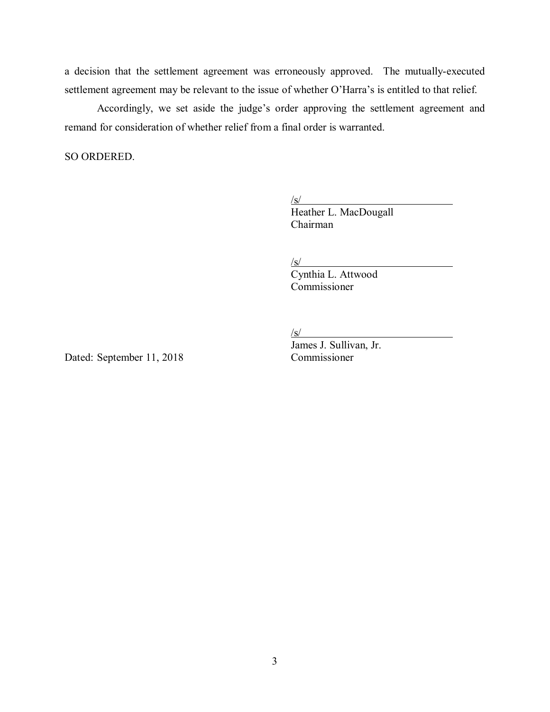settlement agreement may be relevant to the issue of whether O'Harra's is entitled to that relief. a decision that the settlement agreement was erroneously approved. The mutually-executed

Accordingly, we set aside the judge's order approving the settlement agreement and remand for consideration of whether relief from a final order is warranted.

SO ORDERED.

 $\sqrt{\mathrm{s}}$ 

Heather L. MacDougall Chairman

 $\sqrt{\mathrm{s}}$ 

Cynthia L. Attwood Commissioner

James J. Sullivan, Jr.

 $\sqrt{\mathrm{s}}$ 

Dated: September 11, 2018 Commissioner

3